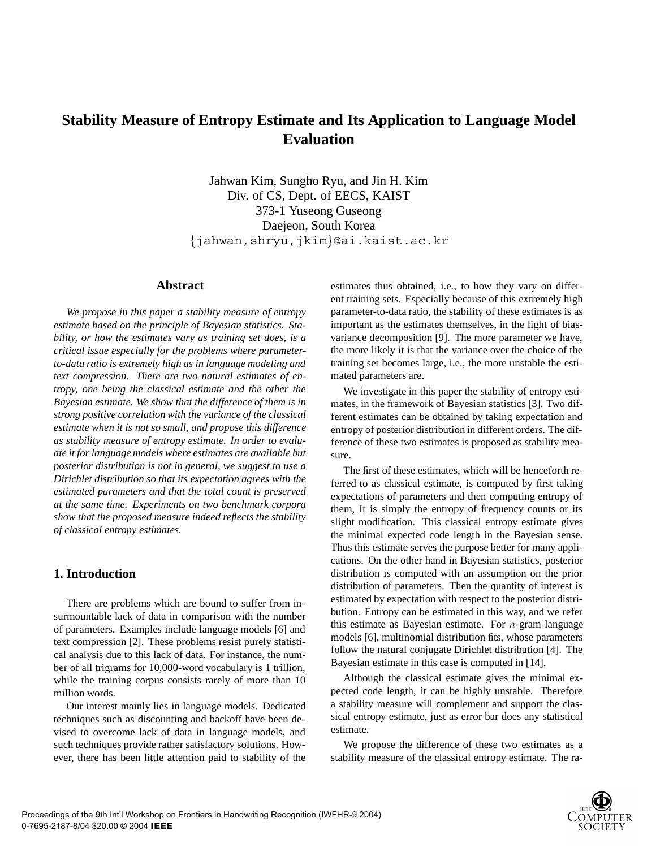# **Stability Measure of Entropy Estimate and Its Application to Language Model Evaluation**

Jahwan Kim, Sungho Ryu, and Jin H. Kim Div. of CS, Dept. of EECS, KAIST 373-1 Yuseong Guseong Daejeon, South Korea {jahwan,shryu,jkim}@ai.kaist.ac.kr

### **Abstract**

*We propose in this paper a stability measure of entropy estimate based on the principle of Bayesian statistics. Stability, or how the estimates vary as training set does, is a critical issue especially for the problems where parameterto-data ratio is extremely high as in language modeling and text compression. There are two natural estimates of entropy, one being the classical estimate and the other the Bayesian estimate. We show that the difference of them is in strong positive correlation with the variance of the classical estimate when it is not so small, and propose this difference as stability measure of entropy estimate. In order to evaluate it for language models where estimates are available but posterior distribution is not in general, we suggest to use a Dirichlet distribution so that its expectation agrees with the estimated parameters and that the total count is preserved at the same time. Experiments on two benchmark corpora show that the proposed measure indeed reflects the stability of classical entropy estimates.*

# **1. Introduction**

There are problems which are bound to suffer from insurmountable lack of data in comparison with the number of parameters. Examples include language models [6] and text compression [2]. These problems resist purely statistical analysis due to this lack of data. For instance, the number of all trigrams for 10,000-word vocabulary is 1 trillion, while the training corpus consists rarely of more than 10 million words.

Our interest mainly lies in language models. Dedicated techniques such as discounting and backoff have been devised to overcome lack of data in language models, and such techniques provide rather satisfactory solutions. However, there has been little attention paid to stability of the estimates thus obtained, i.e., to how they vary on different training sets. Especially because of this extremely high parameter-to-data ratio, the stability of these estimates is as important as the estimates themselves, in the light of biasvariance decomposition [9]. The more parameter we have, the more likely it is that the variance over the choice of the training set becomes large, i.e., the more unstable the estimated parameters are.

We investigate in this paper the stability of entropy estimates, in the framework of Bayesian statistics [3]. Two different estimates can be obtained by taking expectation and entropy of posterior distribution in different orders. The difference of these two estimates is proposed as stability measure.

The first of these estimates, which will be henceforth referred to as classical estimate, is computed by first taking expectations of parameters and then computing entropy of them, It is simply the entropy of frequency counts or its slight modification. This classical entropy estimate gives the minimal expected code length in the Bayesian sense. Thus this estimate serves the purpose better for many applications. On the other hand in Bayesian statistics, posterior distribution is computed with an assumption on the prior distribution of parameters. Then the quantity of interest is estimated by expectation with respect to the posterior distribution. Entropy can be estimated in this way, and we refer this estimate as Bayesian estimate. For  $n$ -gram language models [6], multinomial distribution fits, whose parameters follow the natural conjugate Dirichlet distribution [4]. The Bayesian estimate in this case is computed in [14].

Although the classical estimate gives the minimal expected code length, it can be highly unstable. Therefore a stability measure will complement and support the classical entropy estimate, just as error bar does any statistical estimate.

We propose the difference of these two estimates as a stability measure of the classical entropy estimate. The ra-

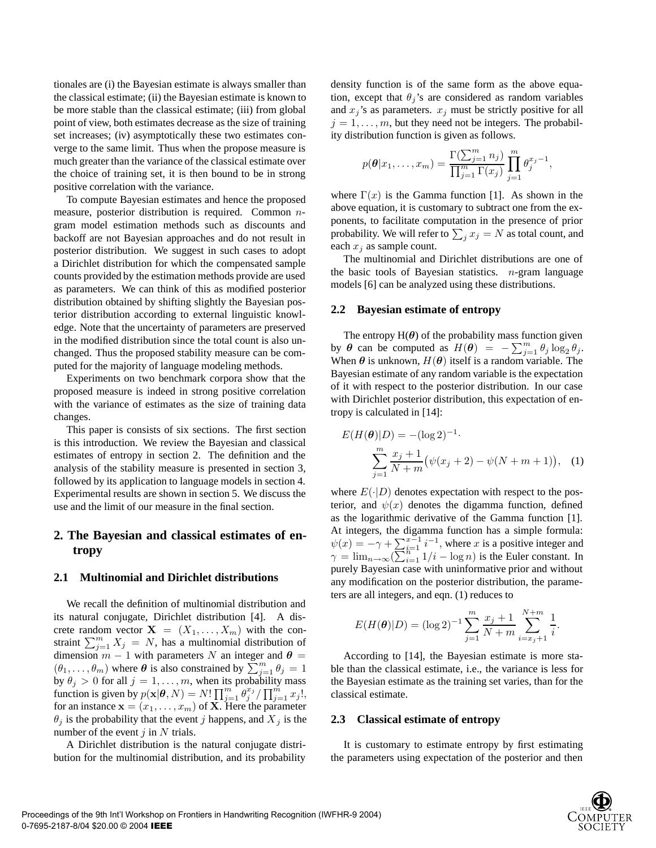tionales are (i) the Bayesian estimate is always smaller than the classical estimate; (ii) the Bayesian estimate is known to be more stable than the classical estimate; (iii) from global point of view, both estimates decrease as the size of training set increases; (iv) asymptotically these two estimates converge to the same limit. Thus when the propose measure is much greater than the variance of the classical estimate over the choice of training set, it is then bound to be in strong positive correlation with the variance.

To compute Bayesian estimates and hence the proposed measure, posterior distribution is required. Common ngram model estimation methods such as discounts and backoff are not Bayesian approaches and do not result in posterior distribution. We suggest in such cases to adopt a Dirichlet distribution for which the compensated sample counts provided by the estimation methods provide are used as parameters. We can think of this as modified posterior distribution obtained by shifting slightly the Bayesian posterior distribution according to external linguistic knowledge. Note that the uncertainty of parameters are preserved in the modified distribution since the total count is also unchanged. Thus the proposed stability measure can be computed for the majority of language modeling methods.

Experiments on two benchmark corpora show that the proposed measure is indeed in strong positive correlation with the variance of estimates as the size of training data changes.

This paper is consists of six sections. The first section is this introduction. We review the Bayesian and classical estimates of entropy in section 2. The definition and the analysis of the stability measure is presented in section 3, followed by its application to language models in section 4. Experimental results are shown in section 5. We discuss the use and the limit of our measure in the final section.

# **2. The Bayesian and classical estimates of entropy**

### **2.1 Multinomial and Dirichlet distributions**

We recall the definition of multinomial distribution and its natural conjugate, Dirichlet distribution [4]. A discrete random vector  $X = (X_1, \ldots, X_m)$  with the constraint  $\sum_{j=1}^{m} X_j = N$ , has a multinomial distribution of dimension  $m-1$  with parameters  $N$  an integer and  $\boldsymbol{\theta}$ dimension  $m - 1$  with parameters N an integer and  $\theta =$  $(\theta_1, \ldots, \theta_m)$  where  $\theta$  is also constrained by  $\sum_{j=1}^m \theta_j = 1$ <br>by  $\theta_i > 0$  for all  $i = 1$  *m* when its probability mass by  $\theta_j > 0$  for all  $j = 1, \ldots, m$ , when its probability mass function is given by  $p(\mathbf{x}|\boldsymbol{\theta}, N) = N! \prod_{j=1}^{m} \theta_j^{x_j} / \prod_{j=1}^{m} x_j!,$ <br>for an instance  $\mathbf{x} = (x, x)$  of  $\mathbf{X}$ . Here the parameter for an instance  $\mathbf{x} = (x_1, \dots, x_m)$  of **X**. Here the parameter  $\theta_j$  is the probability that the event j happens, and  $X_j$  is the number of the event  $j$  in  $N$  trials.

A Dirichlet distribution is the natural conjugate distribution for the multinomial distribution, and its probability density function is of the same form as the above equation, except that  $\theta_j$ 's are considered as random variables and  $x_j$ 's as parameters.  $x_j$  must be strictly positive for all  $j = 1, \ldots, m$ , but they need not be integers. The probability distribution function is given as follows.

$$
p(\theta | x_1, \dots, x_m) = \frac{\Gamma(\sum_{j=1}^m n_j)}{\prod_{j=1}^m \Gamma(x_j)} \prod_{j=1}^m \theta_j^{x_j - 1},
$$

where  $\Gamma(x)$  is the Gamma function [1]. As shown in the above equation, it is customary to subtract one from the exponents, to facilitate computation in the presence of prior probability. We will refer to  $\sum_j x_j = N$  as total count, and each x*<sup>j</sup>* as sample count.

The multinomial and Dirichlet distributions are one of the basic tools of Bayesian statistics.  $n$ -gram language models [6] can be analyzed using these distributions.

### **2.2 Bayesian estimate of entropy**

The entropy  $H(\theta)$  of the probability mass function given by  $\theta$  can be computed as  $H(\theta) = -\sum_{j=1}^{m} \theta_j \log_2 \theta_j$ .<br>When  $\theta$  is unknown  $H(\theta)$  itself is a random variable. The When  $\theta$  is unknown,  $H(\theta)$  itself is a random variable. The Bayesian estimate of any random variable is the expectation of it with respect to the posterior distribution. In our case with Dirichlet posterior distribution, this expectation of entropy is calculated in [14]:

$$
E(H(\theta)|D) = -(\log 2)^{-1}.
$$
  

$$
\sum_{j=1}^{m} \frac{x_j + 1}{N + m} (\psi(x_j + 2) - \psi(N + m + 1)),
$$
 (1)

where  $E(\cdot|D)$  denotes expectation with respect to the posterior, and  $\psi(x)$  denotes the digamma function, defined as the logarithmic derivative of the Gamma function [1]. At integers, the digamma function has a simple formula:  $\psi(x) = -\gamma + \sum_{i=1}^{x-1} i^{-1}$ , where x is a positive integer and<br>  $\gamma = \lim_{x \to -1} \frac{(\sum_{i=1}^{n} i^{-1})}{1/i - \log n}$  is the Fuler constant. In  $\gamma = \lim_{n \to \infty} \left( \sum_{i=1}^{n} 1/i - \log n \right)$  is the Euler constant. In purely Bayesian case with uninformative prior and without any modification on the posterior distribution, the parameters are all integers, and eqn. (1) reduces to

$$
E(H(\theta)|D) = (\log 2)^{-1} \sum_{j=1}^{m} \frac{x_j + 1}{N + m} \sum_{i=x_j+1}^{N+m} \frac{1}{i}.
$$

According to [14], the Bayesian estimate is more stable than the classical estimate, i.e., the variance is less for the Bayesian estimate as the training set varies, than for the classical estimate.

### **2.3 Classical estimate of entropy**

It is customary to estimate entropy by first estimating the parameters using expectation of the posterior and then

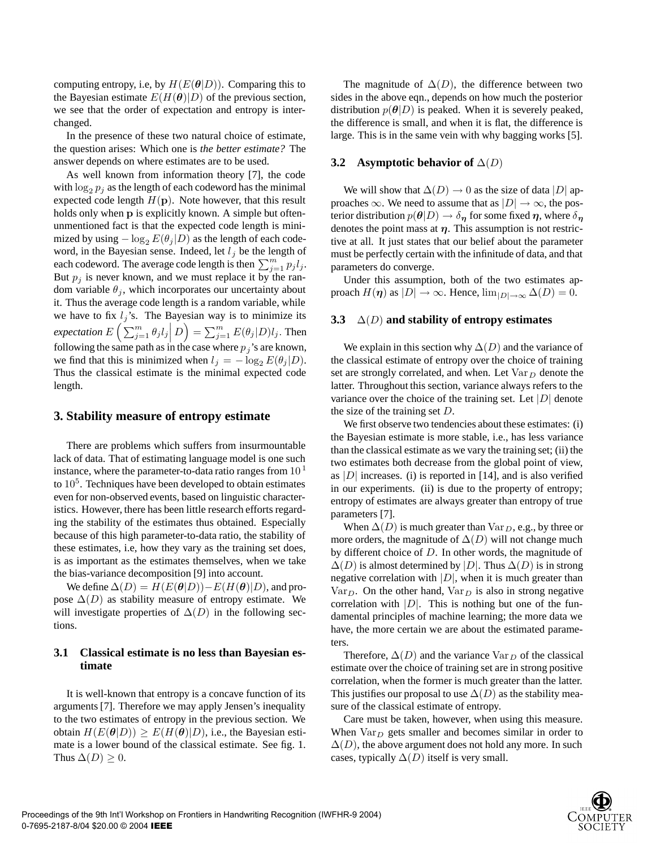computing entropy, i.e, by  $H(E(\theta|D))$ . Comparing this to the Bayesian estimate  $E(H(\theta)|D)$  of the previous section, we see that the order of expectation and entropy is interchanged.

In the presence of these two natural choice of estimate, the question arises: Which one is *the better estimate?* The answer depends on where estimates are to be used.

As well known from information theory [7], the code with  $\log_2 p_j$  as the length of each codeword has the minimal expected code length  $H(\mathbf{p})$ . Note however, that this result holds only when **p** is explicitly known. A simple but oftenunmentioned fact is that the expected code length is minimized by using  $-\log_2 E(\theta_i|D)$  as the length of each codeword, in the Bayesian sense. Indeed, let  $l_j$  be the length of each codeword. The average code length is then  $\sum_{j=1}^{m} p_j l_j$ . But  $p_j$  is never known, and we must replace it by the random variable  $\theta_j$ , which incorporates our uncertainty about it. Thus the average code length is a random variable, while we have to fix  $l_j$ 's. The Bayesian way is to minimize its *expectation*  $E\left(\sum_{j=1}^m \theta_j l_j\right)$  $D$  =  $\sum_{j=1}^{m} E(\theta_j | D) l_j$ . Then following the same path as in the case where  $p_j$ 's are known, we find that this is minimized when  $l_j = -\log_2 E(\theta_j|D)$ . Thus the classical estimate is the minimal expected code length.

# **3. Stability measure of entropy estimate**

There are problems which suffers from insurmountable lack of data. That of estimating language model is one such instance, where the parameter-to-data ratio ranges from  $10<sup>1</sup>$ to  $10<sup>5</sup>$ . Techniques have been developed to obtain estimates even for non-observed events, based on linguistic characteristics. However, there has been little research efforts regarding the stability of the estimates thus obtained. Especially because of this high parameter-to-data ratio, the stability of these estimates, i.e, how they vary as the training set does, is as important as the estimates themselves, when we take the bias-variance decomposition [9] into account.

We define  $\Delta(D) = H(E(\theta|D)) - E(H(\theta)|D)$ , and propose  $\Delta(D)$  as stability measure of entropy estimate. We will investigate properties of  $\Delta(D)$  in the following sections.

# **3.1 Classical estimate is no less than Bayesian estimate**

It is well-known that entropy is a concave function of its arguments [7]. Therefore we may apply Jensen's inequality to the two estimates of entropy in the previous section. We obtain  $H(E(\theta|D)) > E(H(\theta)|D)$ , i.e., the Bayesian estimate is a lower bound of the classical estimate. See fig. 1. Thus  $\Delta(D) \geq 0$ .

The magnitude of  $\Delta(D)$ , the difference between two sides in the above eqn., depends on how much the posterior distribution  $p(\theta|D)$  is peaked. When it is severely peaked, the difference is small, and when it is flat, the difference is large. This is in the same vein with why bagging works [5].

#### **3.2 Asymptotic behavior of** ∆(D)

We will show that  $\Delta(D) \rightarrow 0$  as the size of data |D| approaches  $\infty$ . We need to assume that as  $|D| \to \infty$ , the posterior distribution  $p(\theta|D) \rightarrow \delta_{\eta}$  for some fixed  $\eta$ , where  $\delta_{\eta}$ denotes the point mass at  $\eta$ . This assumption is not restrictive at all. It just states that our belief about the parameter must be perfectly certain with the infinitude of data, and that parameters do converge.

Under this assumption, both of the two estimates approach  $H(\eta)$  as  $|D| \to \infty$ . Hence,  $\lim_{|D| \to \infty} \Delta(D) = 0$ .

#### **3.3** ∆(D) **and stability of entropy estimates**

We explain in this section why  $\Delta(D)$  and the variance of the classical estimate of entropy over the choice of training set are strongly correlated, and when. Let  $Var_D$  denote the latter. Throughout this section, variance always refers to the variance over the choice of the training set. Let  $|D|$  denote the size of the training set  $D$ .

We first observe two tendencies about these estimates: (i) the Bayesian estimate is more stable, i.e., has less variance than the classical estimate as we vary the training set; (ii) the two estimates both decrease from the global point of view, as  $|D|$  increases. (i) is reported in [14], and is also verified in our experiments. (ii) is due to the property of entropy; entropy of estimates are always greater than entropy of true parameters [7].

When  $\Delta(D)$  is much greater than  $\text{Var}_D$ , e.g., by three or more orders, the magnitude of  $\Delta(D)$  will not change much by different choice of D. In other words, the magnitude of  $\Delta(D)$  is almost determined by  $|D|$ . Thus  $\Delta(D)$  is in strong negative correlation with  $|D|$ , when it is much greater than Var<sub>D</sub>. On the other hand, Var<sub>D</sub> is also in strong negative correlation with  $|D|$ . This is nothing but one of the fundamental principles of machine learning; the more data we have, the more certain we are about the estimated parameters.

Therefore,  $\Delta(D)$  and the variance Var<sub>D</sub> of the classical estimate over the choice of training set are in strong positive correlation, when the former is much greater than the latter. This justifies our proposal to use  $\Delta(D)$  as the stability measure of the classical estimate of entropy.

Care must be taken, however, when using this measure. When  $Var_D$  gets smaller and becomes similar in order to  $\Delta(D)$ , the above argument does not hold any more. In such cases, typically  $\Delta(D)$  itself is very small.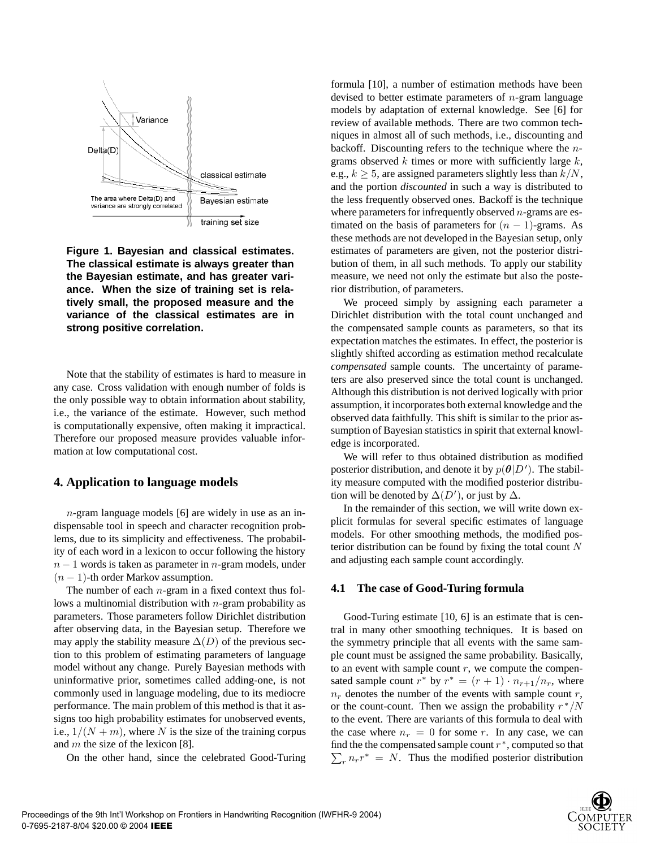

**Figure 1. Bayesian and classical estimates. The classical estimate is always greater than the Bayesian estimate, and has greater variance. When the size of training set is relatively small, the proposed measure and the variance of the classical estimates are in strong positive correlation.**

Note that the stability of estimates is hard to measure in any case. Cross validation with enough number of folds is the only possible way to obtain information about stability, i.e., the variance of the estimate. However, such method is computationally expensive, often making it impractical. Therefore our proposed measure provides valuable information at low computational cost.

# **4. Application to language models**

 $n$ -gram language models [6] are widely in use as an indispensable tool in speech and character recognition problems, due to its simplicity and effectiveness. The probability of each word in a lexicon to occur following the history  $n-1$  words is taken as parameter in n-gram models, under  $(n - 1)$ -th order Markov assumption.

The number of each  $n$ -gram in a fixed context thus follows a multinomial distribution with  $n$ -gram probability as parameters. Those parameters follow Dirichlet distribution after observing data, in the Bayesian setup. Therefore we may apply the stability measure  $\Delta(D)$  of the previous section to this problem of estimating parameters of language model without any change. Purely Bayesian methods with uninformative prior, sometimes called adding-one, is not commonly used in language modeling, due to its mediocre performance. The main problem of this method is that it assigns too high probability estimates for unobserved events, i.e.,  $1/(N + m)$ , where N is the size of the training corpus and  $m$  the size of the lexicon [8].

On the other hand, since the celebrated Good-Turing

formula [10], a number of estimation methods have been devised to better estimate parameters of  $n$ -gram language models by adaptation of external knowledge. See [6] for review of available methods. There are two common techniques in almost all of such methods, i.e., discounting and backoff. Discounting refers to the technique where the  $n$ grams observed k times or more with sufficiently large  $k$ , e.g.,  $k > 5$ , are assigned parameters slightly less than  $k/N$ , and the portion *discounted* in such a way is distributed to the less frequently observed ones. Backoff is the technique where parameters for infrequently observed  $n$ -grams are estimated on the basis of parameters for  $(n - 1)$ -grams. As these methods are not developed in the Bayesian setup, only estimates of parameters are given, not the posterior distribution of them, in all such methods. To apply our stability measure, we need not only the estimate but also the posterior distribution, of parameters.

We proceed simply by assigning each parameter a Dirichlet distribution with the total count unchanged and the compensated sample counts as parameters, so that its expectation matches the estimates. In effect, the posterior is slightly shifted according as estimation method recalculate *compensated* sample counts. The uncertainty of parameters are also preserved since the total count is unchanged. Although this distribution is not derived logically with prior assumption, it incorporates both external knowledge and the observed data faithfully. This shift is similar to the prior assumption of Bayesian statistics in spirit that external knowledge is incorporated.

We will refer to thus obtained distribution as modified posterior distribution, and denote it by  $p(\theta|D')$ . The stabil-<br>ity measure computed with the modified posterior distribuity measure computed with the modified posterior distribution will be denoted by  $\Delta(D')$ , or just by  $\Delta$ .<br>In the remainder of this section, we will be

In the remainder of this section, we will write down explicit formulas for several specific estimates of language models. For other smoothing methods, the modified posterior distribution can be found by fixing the total count  $N$ and adjusting each sample count accordingly.

### **4.1 The case of Good-Turing formula**

Good-Turing estimate [10, 6] is an estimate that is central in many other smoothing techniques. It is based on the symmetry principle that all events with the same sample count must be assigned the same probability. Basically, to an event with sample count  $r$ , we compute the compensated sample count  $r^*$  by  $r^* = (r + 1) \cdot n_{r+1}/n_r$ , where  $n_r$  denotes the number of the events with sample count  $r$ , or the count-count. Then we assign the probability  $r^*/N$ to the event. There are variants of this formula to deal with the case where  $n_r = 0$  for some r. In any case, we can find the the compensated sample count  $r^*$ , computed so that  $\sum_{r} n_r r^* = N$ . Thus the modified posterior distribution

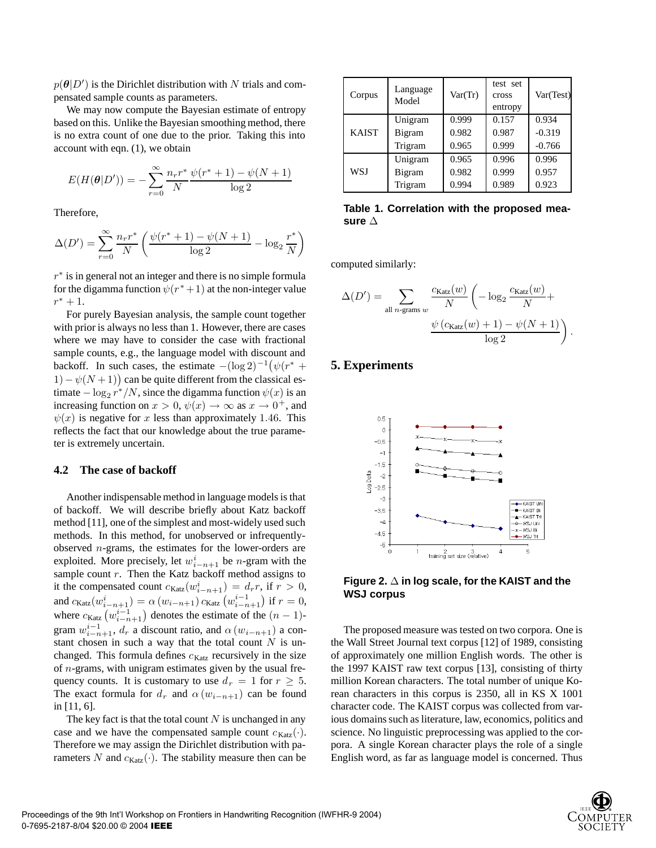$p(\theta|D')$  is the Dirichlet distribution with N trials and com-<br>pensated sample counts as parameters pensated sample counts as parameters.

We may now compute the Bayesian estimate of entropy based on this. Unlike the Bayesian smoothing method, there is no extra count of one due to the prior. Taking this into account with eqn. (1), we obtain

$$
E(H(\theta|D')) = -\sum_{r=0}^{\infty} \frac{n_r r^*}{N} \frac{\psi(r^*+1) - \psi(N+1)}{\log 2}
$$

Therefore,

$$
\Delta(D') = \sum_{r=0}^{\infty} \frac{n_r r^*}{N} \left( \frac{\psi(r^* + 1) - \psi(N + 1)}{\log 2} - \log_2 \frac{r^*}{N} \right)
$$

 $r<sup>*</sup>$  is in general not an integer and there is no simple formula for the digamma function  $\psi(r^*+1)$  at the non-integer value  $r^* + 1$ .

For purely Bayesian analysis, the sample count together with prior is always no less than 1. However, there are cases where we may have to consider the case with fractional sample counts, e.g., the language model with discount and backoff. In such cases, the estimate  $-(\log 2)^{-1}(\psi(r^* + 1), \psi(N+1))$  can be quite different from the classical as 1) –  $\psi(N+1)$  can be quite different from the classical es-<br>timate –  $\log x^*/N$  since the digamma function  $\psi(x)$  is an timate  $-\log_2 r^*/N$ , since the digamma function  $\psi(x)$  is an increasing function on  $x > 0$ ,  $\psi(x) \rightarrow \infty$  as  $x \rightarrow 0^+$ , and  $\psi(x)$  is negative for x less than approximately 1.46. This reflects the fact that our knowledge about the true parameter is extremely uncertain.

### **4.2 The case of backoff**

Another indispensable method in language models is that of backoff. We will describe briefly about Katz backoff method [11], one of the simplest and most-widely used such methods. In this method, for unobserved or infrequentlyobserved  $n$ -grams, the estimates for the lower-orders are exploited. More precisely, let  $w_{i-n+1}^i$  be *n*-gram with the sample count  $r$ . Then the Katz backoff method assigns to it the compensated count  $c_{\text{Katz}}(w_{i-n+1}^i) = d_r r$ , if  $r > 0$ , and  $c_n(w_i^i) = c_n(w_i^i - 1)$  if  $r = 0$ . and  $c_{\text{Katz}}(w_{i-n+1}^i) = \alpha (w_{i-n+1}) c_{\text{Katz}}(w_{i-n+1}^{i-1})$  if  $r = 0$ , where  $c_{\text{Katz}}\left(w_{i-n+1}^{i-1}\right)$  denotes the estimate of the  $(n-1)$ -<br> *arrow*  $w_i^{i-1}$  denotes the estimate of the  $(n-1)$ gram  $w_{i-n+1}^{i-1}$ ,  $d_r$  a discount ratio, and  $\alpha$  ( $w_{i-n+1}$ ) a constant chosen in such a way that the total count N is unstant chosen in such a way that the total count  $N$  is unchanged. This formula defines  $c_{\text{Katz}}$  recursively in the size of  $n$ -grams, with unigram estimates given by the usual frequency counts. It is customary to use  $d_r = 1$  for  $r \geq 5$ . The exact formula for  $d_r$  and  $\alpha$  ( $w_{i-n+1}$ ) can be found in [11, 6].

The key fact is that the total count  $N$  is unchanged in any case and we have the compensated sample count  $c_{\text{Katz}}(\cdot)$ . Therefore we may assign the Dirichlet distribution with parameters N and  $c_{\text{Katz}}(\cdot)$ . The stability measure then can be

| Corpus       | Language<br>Model | Var(Tr)        | test set<br>cross<br>entropy | Var(Test)         |
|--------------|-------------------|----------------|------------------------------|-------------------|
| <b>KAIST</b> | Unigram<br>Bigram | 0.999<br>0.982 | 0.157<br>0.987               | 0.934<br>$-0.319$ |
|              | Trigram           | 0.965          | 0.999                        | $-0.766$          |
| WSJ          | Unigram           | 0.965          | 0.996                        | 0.996             |
|              | Bigram            | 0.982          | 0.999                        | 0.957             |
|              | Trigram           | 0.994          | 0.989                        | 0.923             |

**Table 1. Correlation with the proposed measure** ∆

computed similarly:

$$
\Delta(D') = \sum_{\text{all } n \text{-grams } w} \frac{c_{\text{Katz}}(w)}{N} \left( -\log_2 \frac{c_{\text{Katz}}(w)}{N} + \frac{\psi (c_{\text{Katz}}(w) + 1) - \psi (N + 1)}{\log 2} \right).
$$

# **5. Experiments**



**Figure 2.** ∆ **in log scale, for the KAIST and the WSJ corpus**

The proposed measure was tested on two corpora. One is the Wall Street Journal text corpus [12] of 1989, consisting of approximately one million English words. The other is the 1997 KAIST raw text corpus [13], consisting of thirty million Korean characters. The total number of unique Korean characters in this corpus is 2350, all in KS X 1001 character code. The KAIST corpus was collected from various domains such as literature, law, economics, politics and science. No linguistic preprocessing was applied to the corpora. A single Korean character plays the role of a single English word, as far as language model is concerned. Thus